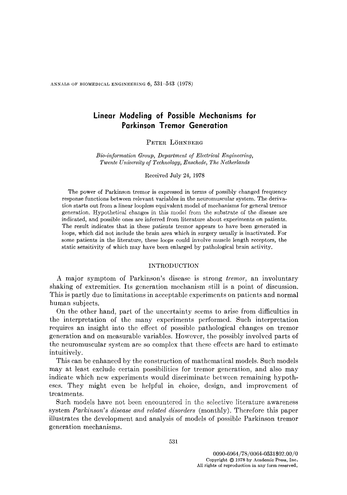ANNALS OF BIOMEDICAL ENGINEERING  $6, 531-543$  (1978)

# **Linear Modeling of Possible Mechanisms for Parkinson Tremor Generation**

## PETER LÖHNBERG

*Bio-information Group, Department of Electrical Engineering, Twente University of Technology, Enschede, The Netherlands* 

Received July 24, 1978

The power of Parkinson tremor is expressed in terms of possibly changed frequency response functions between relevant variables in the neuromuscular system. The derivation starts out from a linear loopless equivalent model of mechanisms for general tremor generation. Hypothetical changes in this model from the substrate of the disease are indicated, and possible ones are inferred from literature about experiments on patients. The result indicates that in these patients tremor appears to have been generated in loops, which did not include the brain area which in surgery usually is inactivated. For some patients in the literature, these loops could involve muscle length receptors, the static sensitivity of which may have been enlarged by pathological brain activity.

#### INTRODUCTION

A major symptom of Parkinson's disease is strong *tremor,* an involuntary shaking of extremities. Its generation mechanism still is a point of discussion. This is partly due to limitations in acceptable experiments on patients and normal human subjects.

On the other hand, part of the uncertainty seems to arise from difficulties in the interpretation of the many experiments performed. Such interpretation requires an insight into the effect of possible pathological changes on tremor generation and on measurable variables. However, the possibly involved parts of the neuromuscular system are so complex that these effects are hard to estimate intuitively.

This can be enhanced by the construction of mathematical models. Such models may at least exclude certain possibilities for tremor generation, and also may indicate which new experiments would discriminate between remaining hypotheses. They might even be helpful in choice, design, and improvement of treatments.

Such models have not been encountered in the selective literature awareness system *Parhinson's disease and related disorders* (monthly). Therefore this paper illustrates the development and analysis of models of possible Parkinson tremor generation mechanisms.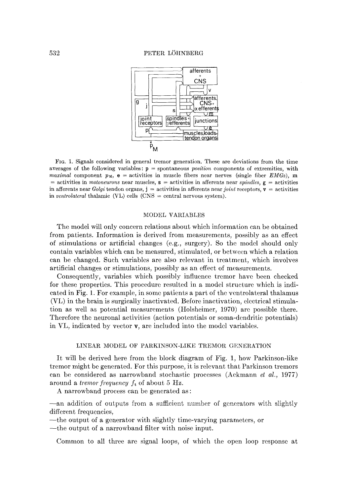

Fro. 1. Signals considered in general tremor generation. These are deviations from the time averages of the following variables:  $p =$  spontaneous *position* components of extremities, with *maximal* component  $p_M$ ,  $e =$  activities in muscle fibers near nerves (single fiber *EMGs*), m  $=$  activities in *motoneurons* near muscles,  $\bf{s}$  = activities in afferents near *spindles*,  $\bf{g}$  = activities in afferents near *Golgi* tendon organs,  $j =$  activities in afferents near *joint* receptors,  $v =$  activities in *ventrolateral* thalamic (VL) cells (CNS = central nervous system).

#### MODEL VARIABLES

The model will only concern relations about which information can be obtained from patients. Information is derived from measurements, possibly as an effect of stimulations or artificial changes (e.g., surgery). So the model should only contain variables which can be measured, stimulated, or between which a relation can be changed. Such variables are also relevant in treatment, which involves artificial changes or stimulations, possibly as an effect of measurements.

Consequently, variables which possibly influence tremor have been checked for these properties. This procedure resulted in a model structure which is indicated in Fig. 1. For example, in some patients a part of the ventrolateral thalamus (VL) in the brain is surgically inactivated. Before inactivation, electrical stimulation as well as potential measurements (Holsheimer, 1970) are possible there. Therefore the neuronal activities (action potentials or soma-dendritic potentials) in VL, indicated by vector v, are included into the model variables.

### LINEAR MODEL OF PARKINSON-LIKE TREMOR GENERATION

It will be derived here from the block diagram of Fig. 1, how Parkinson-like tremor might be generated. For this purpose, it is relevant that Parkinson tremors can be considered as narrowband stochastic processes (Ackmann *et al.,* 1977) around a *tremor frequency ft* of about 5 Hz.

A narrowband process can be generated as :

--an addition of outputs from a sufficient number of generators with slightly different frequencies,

--the output of a generator with slightly time-varying parameters, or

--the output of a narrowband filter with noise input.

Common to all three are signal loops, of which the open loop response at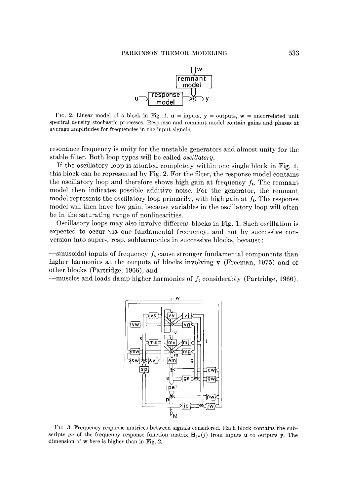

FIG. 2. Linear model of a block in Fig. 1.  $u =$  inputs,  $y =$  outputs,  $w =$  uncorrelated unit spectral density stochastic processes. Response and remnant model contain gains and phases at average amplitudes for frequencies in the input signals.

resonance frequency is unity for the unstable generators and almost unity for the stable filter. Both loop types will be called *oscillatory.* 

If the oscillatory loop is situated completely within one single block in Fig. 1, this block can be represented by Fig. 2. For the filter, the response model contains the oscillatory loop and therefore shows high gain at frequency  $f_t$ . The remnant model then indicates possible additive noise. For the generator, the remnant model represents the oscillatory loop primarily, with high gain at  $f_t$ . The response model will then have low gain, because variables in the oscillatory loop will often be in the saturating range of nonlinearities.

Oscillatory loops may also involve different blocks in Fig. 1. Such oscillation is expected to occur via one fundamental frequency, and not by successive conversion into super-, rcsp. subharmonics in successive blocks, because:

 $-$ sinusoidal inputs of frequency  $f_t$  cause stronger fundamental components than higher harmonics at the outputs of blocks involving  $\bf{v}$  (Freeman, 1975) and of other blocks (Partridge, 1966), and

-muscles and loads damp higher harmonics of  $f_t$  considerably (Partridge, 1966).



FIG. 3. Frequency response matrices between signals considered. Each block contains the subscripts *yu* of the frequency response function matrix  $H_{yu}(f)$  from inputs u to outputs y. The dimension of w here is higher than in Fig. 2.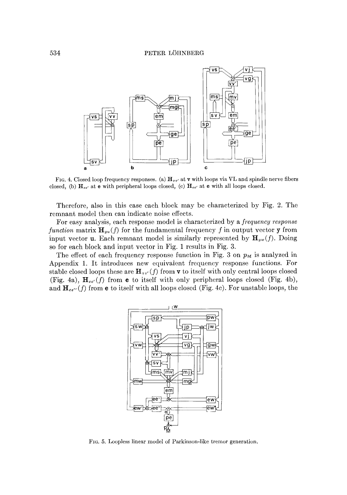### 534 PETER LOHNBERG



FIG. 4. Closed loop frequency responses. (a)  $H_{vv'}$  at v with loops via VL and spindle nerve fibers closed, (b)  $H_{ee'}$  at e with peripheral loops closed, (c)  $H_{ee'}$  at e with all loops closed.

Therefore, also in this case each block may be characterized by Fig. 2. The remnant model then can indicate noise effects.

For easy analysis, each response model is characterized by a *frequency response function* matrix  $\mathbf{H}_{uu}(f)$  for the fundamental frequency f in output vector y from input vector **u**. Each remnant model is similarly represented by  $\mathbf{H}_{yw}(f)$ . Doing so for each block and input vector in Fig. 1 results in Fig. 3.

The effect of each frequency response function in Fig. 3 on  $p<sub>M</sub>$  is analyzed in Appendix 1. It introduces new equivalent frequency response functions. For stable closed loops these are  $\mathbf{H}_{vv'}(f)$  from **v** to itself with only central loops closed (Fig. 4a),  $\mathbf{H}_{ee'}(f)$  from **e** to itself with only peripheral loops closed (Fig. 4b), and  $\mathbf{H}_{ee'}(f)$  from **e** to itself with all loops closed (Fig. 4c). For unstable loops, the



Fro. 5. Loopless linear model of Parkinson-like tremor generation.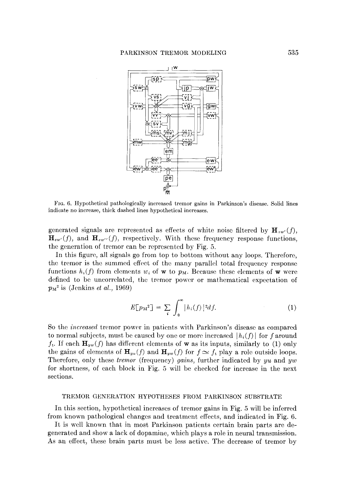

FIG. 6. Hypothetical pathologically increased tremor gains in Parkinson's disease. Solid lines indicate no increase, thick dashed lines hypothetical increases.

generated signals are represented as effects of white noise filtered by  $\mathbf{H}_{vw'}(f)$ ,  $\mathbf{H}_{ew}(f)$ , and  $\mathbf{H}_{ew'}(f)$ , respectively. With these frequency response functions, the generation of tremor can be represented by Fig. 5.

In this figure, all signals go from top to bottom without any loops. Therefore, the tremor is the summed effect of the many parallel total frequency response functions  $h_i(f)$  from elements  $w_i$  of w to  $p_M$ . Because these elements of w were defined to be uncorrelated, the tremor power or mathematical expectation of  $p_M^2$  is (Jenkins *et al.*, 1969)

$$
E[p_M^2] = \sum_i \int_0^\infty |h_i(f)|^2 df. \tag{1}
$$

So the *increased* tremor power in patients with Parkinson's disease as compared to normal subjects, must be caused by one or more increased  $|h_i(f)|$  for f around  $f_t$ . If each  $\mathbf{H}_{yw}(f)$  has different elements of **w** as its inputs, similarly to (1) only the gains of elements of  $\mathbf{H}_{yu}(f)$  and  $\mathbf{H}_{yu}(f)$  for  $f \simeq f_t$  play a role outside loops. Therefore, only these *tremor* (frequency) *gains*, further indicated by *yu* and *yw* for shortness, of each block in Fig. 5 will be checked for increase in the next sections.

#### TREMOR GENERATION HYPOTHESES FROM PARKINSON SUBSTRATE

In this section, hypothetical increases of tremor gains in Fig. 5 will be inferred from known pathological changes and treatment effects, and indicated in Fig. 6.

It is well known that in most Parkinson patients certain brain parts are degenerated and show a lack of dopamine, which plays a role in neural transmission. As an effect, these brain parts must be less active. The decrease of tremor by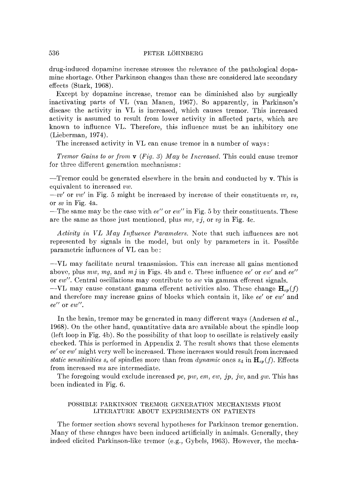drug-induced dopamine increase stresses the relevance of the pathological dopamine shortage. Other Parkinson changes than these are considered late secondary effects (Stark, 1968).

Except by dopamine increase, tremor can be diminished also by surgically inactivating parts of VL (van Manen, 1967). So apparently, in Parkinson's disease the activity in VL is increased, which causes tremor. This increased activity is assumed to result from lower activity in affected parts, which are known to influence VL. Therefore, this influence must be an inhibitory one (Lieberman, 1974).

The increased activity in VL can cause tremor in a number of ways:

*Tremor Gains to or from v (Fig. 3) May be Increased.* This could cause tremor for three different generation mechanisms:

 $-$ Tremor could be generated elsewhere in the brain and conducted by  $v$ . This is equivalent to increased *vw.* 

*--vv'* or *vw'* in Fig. 5 might be increased by increase of their constituents *vv, vs,*  or *sv* in Fig. 4a.

--The same may be the case with ee" or *ew"* in Fig. 5 by their constituents. These are the same as those just mentioned, plus *my, v j,* or *vg* in Fig. 4c.

*Activity in VL May Influence Parameters.* Note that such influences are not represented by signals in the model, but only by parameters in it. Possible parametric influences of VL can be:

--VL may facilitate neural transmission. This can increase all gains mentioned above, plus *mw*, *mg*, and *mj* in Figs. 4b and c. These influence *ee'* or  $ew'$  and  $ee''$ or *ew'.* Central oscillations may contribute to sw via gamma efferent signals.

 $-VL$  may cause constant gamma efferent activities also. These change  $\mathbf{H}_{sp}(f)$ and therefore may increase gains of blocks which contain it, like *ee'* or *ew'* and  $ee^{\prime\prime}$  or  $ew^{\prime\prime}$ .

In the brain, tremor may be generated in many different ways (Andersen *et al.,*  1968). On the other hand, quantitative data are available about the spindle loop (left loop in Fig. 4b). So the possibility of that loop to oscillate is relatively easily checked. This is performed in Appendix 2. The result shows that these elements ee' or *ew'* might very well be increased. These increases would result from increased *static sensitivities*  $s_s$  of spindles more than from *dynamic* ones  $s_d$  in  $\mathbf{H}_{sp}(f)$ . Effects from increased *ms* are intermediate.

The foregoing would exclude increased *pc, pw, era, ew, jp, jw,* and *gw.* This has been indicated in Fig. 6.

### POSSIBLE PARKINSON TREMOR GENERATION MECHANISMS FROM LITERATURE ABOUT EXPERIMENTS ON PATIENTS

The former section shows several hypotheses for Parkinson tremor generation. Many of these changes have been induced artificially in animals. Generally, they indeed elicited Parkinson-like tremor (e.g., Gybels, 1963). However, the mecha-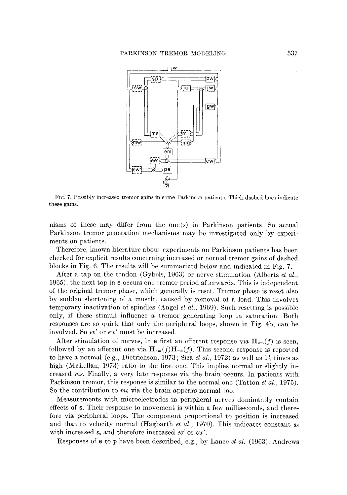

Fro. 7. Possibly increased tremor gains in some Parkinson patients. Thick dashed lines indicate these gains.

nisms of these may differ from the one(s) in Parkinson patients. So actual Parkinson tremor generation mechanisms may be investigated only by experiments on patients.

Therefore, known literature about experiments on Parkinson patients has been checked for explicit results concerning increased or normal tremor gains of dashed blocks in Fig. 6. The results will be summarized below and indicated in Fig. 7.

After a tap on the tendon (Gybels, 1963) or nerve stimulation (Alberts *et al.,*  1965), the next top in e occurs one tremor period afterwards. This is independent of the original tremor phase, which generally is reset. Tremor phase is reset also by sudden shortening of a muscle, caused by removal of a load. This involves temporary inactivation of spindles (Angel *et al.,* 1969). Such resetting is possible only, if these stimuli influence a tremor generating loop in saturation. Both responses are so quick that only the peripheral loops, shown in Fig. 4b, can be involved. So *ee'* or *ew'* must be increased.

After stimulation of nerves, in e first an efferent response via  $\mathbf{H}_{em}(f)$  is seen, followed by an afferent one via  $\mathbf{H}_{em}(f)\mathbf{H}_{ms}(f)$ . This second response is reported to have a normal (e.g., Dietrichson, 1973; Sica *et al.*, 1972) as well as  $1\frac{1}{2}$  times as high (MeLellan, 1973) ratio to the first one. This implies normal or slightly increased *ms.* Finally, a very late response via the brain occurs. In patients with Parkinson tremor, this response is similar to the normal one (Tatton *et al.,* 1975). So the contribution to *ms* via the brain appears normal too.

Measurements with mieroeleetrodcs in peripheral nerves dominantly contain effects of s. Their response to movement is within a few milliseconds, and therefore via peripheral loops. The component proportional to position is increased and that to velocity normal (Hagbarth *et al.,* 1970). This indicates constant sa with increased  $s_s$  and therefore increased *ee'* or *ew'*.

Responses of e to p have been described, e.g., by Lance *et al.* (1963), Andrews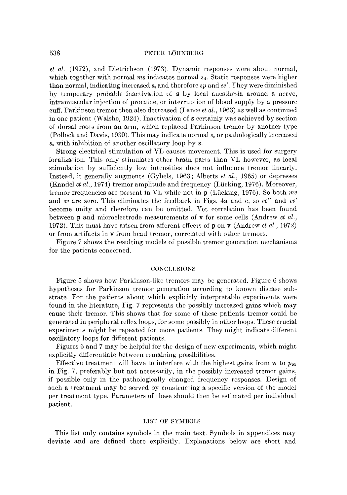### 538 PETER LÖHNBERG

*et al.* (1972), and Dietrichson (1973). Dynamic responses were about normal, which together with normal  $ms$  indicates normal  $s<sub>d</sub>$ . Static responses were higher than normal, indicating increased  $s_s$  and therefore  $sp$  and  $ee'$ . They were diminished by temporary probable inactivation of s by local anesthesia around a nerve, intramuseular injection of procaine, or interruption of blood supply by a pressure cuff. Parkinson tremor then also decreased (Lance *et aI.,* 1963) as well as continued in one patient (Walshe, 1924). Inactivation of s certainly was achieved by section of dorsal roots from an arm, which replaced Parkinson tremor by another type (Pollock and Davis, 1930). This may indicate normal s~ or pathologically increased  $s_s$  with inhibition of another oscillatory loop by s.

Strong electrical stimulation of VL causes movement. This is used for surgery localization. This only stimulates other brain parts than VL however, as local stimulation by sufficiently low intensities does not influence tremor linearly. Instead, it generally augments (Gybels, 1963; Alberts *et al.,* 1965) or depresses (Kandel *et al.,* 1974) tremor amplitude and frequency (Lücking, 1976). Moreover, tremor frequencies are present in VL while not in p (Liicking, 1976). So both *my*  and *sv* are zero. This eliminates the feedback in Figs. 4a and e, so *ee"* and *vv'*  become unity and therefore can be omitted. Yet correlation has been found between p and mieroelectrode measurements of v for some cells (Andrew *et at.,*  1972). This must have arisen from afferent effects of p on v (Andrew *et al.,* 1972) or from artifacts in v from head tremor, correlated with other tremors.

Figure 7 shows the resulting models of possible tremor generation mechanisms for the patients concerned.

#### CONCLUSIONS

Figure 5 shows how Parkinson-like tremors may be generated. Figure  $6$  shows hypotheses for Parkinson tremor generation according to known disease substrate. For the patients about which explicitly interpretable experiments were found in the literature, Fig. 7 represents the possibly increased gains which may cause their tremor. This shows that for some of these patients tremor could be generated in peripheral reflex loops, for some possibly in other loops. These crucial experiments might be repeated for more patients. They might indicate different oscillatory loops for different patients.

Figures 6 and 7 may be helpful for the design of new experiments, which might explicitly differentiate between remaining possibilities.

Effective treatment will have to interfere with the highest gains from  $w$  to  $p_M$ in Fig. 7, preferably but not necessarily, in the possibly increased tremor gains, if possible only in the pathologically changed frequency responses. Design of such a treatment may be served by constructing a specific version of the model per treatment type. Parameters of these should then be estimated per individual patient.

#### LIST OF SYMBOLS

This list only contains symbols in the main text. Symbols in appendices may deviate and are defined there explicitly. Explanations below are short and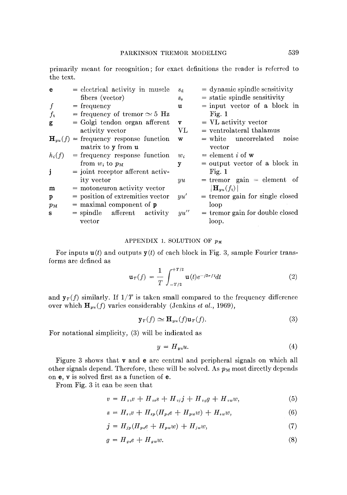primarily meant for recognition; for exact definitions the reader is referred to the text.

| e           | $=$ electrical activity in muscle                  | $S_{\rm d}$  | $=$ dynamic spindle sensitivity                         |
|-------------|----------------------------------------------------|--------------|---------------------------------------------------------|
|             | fibers (vector)                                    | $S_{\rm S}$  | $=$ static spindle sensitivity                          |
| f           | $=$ frequency                                      | u            | $=$ input vector of a block in                          |
| $f_{\rm t}$ | = frequency of tremor $\simeq$ 5 Hz                |              | Fig. 1                                                  |
| g           | $=$ Golgi tendon organ afferent                    | $\mathbf{v}$ | $=$ VL activity vector                                  |
|             | activity vector                                    | $\rm{VL}$    | $=$ ventrolateral thalamus                              |
|             | $\mathbf{H}_{uu}(f)$ = frequency response function | W            | $=$ white uncorrelated<br>noise                         |
|             | matrix to y from u                                 |              | vector                                                  |
| $h_i(f)$    | $=$ frequency response function                    | $w_i$        | $=$ element i of w                                      |
|             | from $w_i$ to $p_M$                                | y            | $=$ output vector of a block in                         |
| j           | $=$ joint receptor afferent activ-                 |              | Fig. 1                                                  |
|             | ity vector                                         | yu           | $=$ tremor gain $=$ element of                          |
| m           | $=$ motoneuron activity vector                     |              | $\left\Vert \mathbf{H}_{yu}(f_{\mathrm{t}})\right\Vert$ |
| p           | $=$ position of extremities vector                 | uu'          | $=$ tremor gain for single closed                       |
| $p_{\rm M}$ | $=$ maximal component of $\bf{p}$                  |              | loop                                                    |
| s           | $=$ spindle afferent activity                      | yu''         | $=$ tremor gain for double closed                       |
|             | vector                                             |              | loop.                                                   |
|             |                                                    |              |                                                         |

## APPENDIX 1. SOLUTION OF  $p_M$

For inputs  $u(t)$  and outputs  $y(t)$  of each block in Fig. 3, sample Fourier transforms are defined as

$$
\mathbf{u}_{T}(f) = \frac{1}{T} \int_{-T/2}^{+T/2} \mathbf{u}(t) e^{-j2\pi ft} dt
$$
 (2)

and  $y_T(f)$  similarly. If  $1/T$  is taken small compared to the frequency difference over which  $\mathbf{H}_{yu}(f)$  varies considerably (Jenkins *et al.*, 1969),

$$
\mathbf{y}_T(f) \simeq \mathbf{H}_{yu}(f)\mathbf{u}_T(f). \tag{3}
$$

For notational simplicity, (3) will be indicated as

$$
y = H_{yu}u.\tag{4}
$$

Figure 3 shows that v and e are central and peripheral signals on which all other signals depend. Therefore, these will be solved. As  $p_M$  most directly depends on e, v is solved first as a function of e.

From Fig. 3 it can be seen that

J

$$
v = H_{vv}v + H_{vs}s + H_{vj}j + H_{vg}g + H_{vw}w,
$$
\n(5)

$$
s = H_{sv}v + H_{sp}(H_{pe}e + H_{pw}w) + H_{sw}w,
$$
\n(6)

$$
j = H_{jp}(H_{pe}e + H_{pw}w) + H_{jw}w,\tag{7}
$$

$$
g = H_{ge}e + H_{gw}w.\tag{8}
$$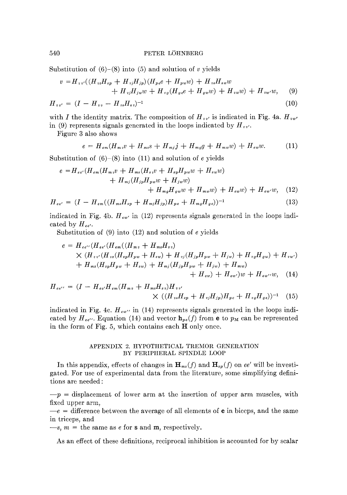Substitution of  $(6)-(8)$  into  $(5)$  and solution of v yields

$$
v = H_{vv'}((H_{vs}H_{sp} + H_{vf}H_{jp})(H_{pe}e + H_{pw}w) + H_{vs}H_{sw}w + H_{vj}H_{jw}w + H_{vg}(H_{ge}e + H_{gw}w) + H_{vw'}w) + H_{vw'}w,
$$
 (9)

$$
H_{vv'} = (I - H_{vv} - H_{vs}H_{sv})^{-1}
$$
\n(10)

with I the identity matrix. The composition of  $H_{vv'}$  is indicated in Fig. 4a.  $H_{vw'}$ in (9) represents signals generated in the loops indicated by  $H_{vv}$ .

Figure 3 also shows

$$
e = H_{\epsilon m}(H_{m\,v}v + H_{m\,s}s + H_{mj}j + H_{mg}g + H_{mw}w) + H_{\epsilon w}w. \tag{11}
$$

Substitution of  $(6)$ – $(8)$  into  $(11)$  and solution of e yields

$$
e = H_{ee'}(H_{em}(H_{mv}v + H_{ms}(H_{sv}v + H_{sp}H_{pw}w + H_{sw}w) + H_{mj}(H_{jp}H_{pw}w + H_{jw}w) + H_{mg}H_{gw}w + H_{mw}w) + H_{ew}w) + H_{ew'}w, \quad (12)
$$

$$
H_{ee'} = (I - H_{em}((H_{ms}H_{sp} + H_{mj}H_{jp})H_{pe} + H_{mg}H_{ge}))^{-1}
$$
\n(13)

indicated in Fig. 4b.  $H_{ew}$  in (12) represents signals generated in the loops indicated by  $H_{ee'}$ .

Substitution of (9) into (12) and solution of e yields

$$
e = H_{ee'}(H_{ee'}(H_{en}((H_{mv} + H_{ms}H_{sv}))
$$
  
 
$$
\times (H_{vv'}(H_{vs}(H_{sp}H_{pw} + H_{sw}) + H_{vj}(H_{jp}H_{pw} + H_{jw}) + H_{vg}H_{gw}) + H_{vw'})
$$
  
+ 
$$
H_{ms}(H_{sp}H_{pw} + H_{sw}) + H_{mj}(H_{jp}H_{pw} + H_{jw}) + H_{mw})
$$
  
+ 
$$
H_{ew}) + H_{ew'}(W_{sp} + H_{sw}) + H_{vw}
$$
 (14)

$$
H_{ee'} = (I - H_{ee'}H_{em}(H_{mv} + H_{ms}H_{sv})H_{vv'}\times ((H_{vs}H_{sp} + H_{vj}H_{jp})H_{pe} + H_{vg}H_{ge}))^{-1}
$$
 (15)

indicated in Fig. 4c.  $H_{ew'}$  in (14) represents signals generated in the loops indicated by  $H_{ee''}$ . Equation (14) and vector  $h_{pe}(f)$  from e to  $p_M$  can be represented in the form of Fig. 5, which contains each H only once.

### APPENDIX 2. HYPOTHETICAL TREMOR GENERATION BY PERIPHERAL SPINDLE LOOP

In this appendix, effects of changes in  $\mathbf{H}_{ms}(f)$  and  $\mathbf{H}_{sp}(f)$  on ee' will be investigated. For use of experimental data from the literature, some simplifying definitions are needed:

 $-p =$  displacement of lower arm at the insertion of upper arm muscles, with fixed upper arm,

 $-e =$  difference between the average of all elements of **e** in biceps, and the same in triceps, and

 $-s, m =$  the same as e for **s** and **m**, respectively.

As an effect of these definitions, reciprocal inhibition is accounted for by scalar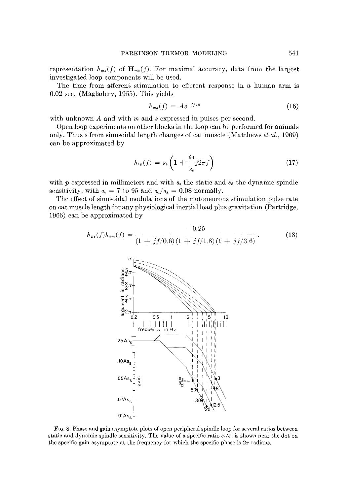representation  $h_{ms}(f)$  of  $\mathbf{H}_{ms}(f)$ . For maximal accuracy, data from the largest investigated loop components will be used.

The time from afferent stimulation to efferent response in a human arm is 0.02 sec. (Magladery, 1955). This yields

$$
h_{ms}(f) = Ae^{-jf/8} \tag{16}
$$

with unknown A and with m and s expressed in pulses per second.

Open loop experiments on other blocks in the loop can be performed for animals only. Thus s from sinusoidal length changes of cat muscle (Matthews *et al.,* 1969) can be approximated by

$$
h_{sp}(f) = s_{\rm s} \left( 1 + \frac{s_{\rm d}}{s_{\rm s}} j 2\pi f \right) \tag{17}
$$

with  $p$  expressed in millimeters and with  $s<sub>s</sub>$  the static and  $s<sub>d</sub>$  the dynamic spindle sensitivity, with  $s_s = 7$  to 95 and  $s_d/s_s = 0.08$  normally.

The effect of sinusoidal modulations of the motoneurons stimulation pulse rate on eat muscle length for any physiological inertial load plus gravitation (Partridge, 1966) can be approximated by

$$
h_{pe}(f)h_{em}(f) = \frac{-0.25}{(1+jf/0.6)(1+jf/1.8)(1+jf/3.6)}.
$$
 (18)



FIG. 8. Phase and gain asymptote plots of open peripheral spindle loop for several ratios between static and dynamic spindle sensitivity. The value of a specific ratio *s~/sa* is shown near the dot on the specific gain asymptote at the frequency for which the specific phase is  $2\pi$  radians.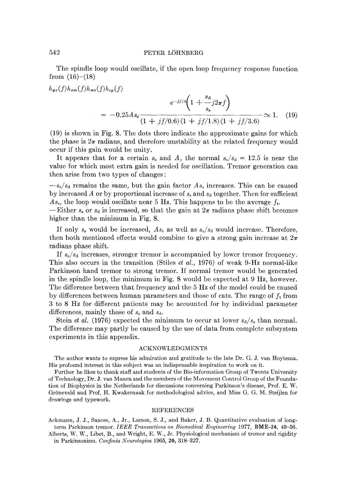### 542 PETER LOHNBERG

The spindle loop would oscillate, if the open loop frequency response function from  $(16)-(18)$ 

$$
h_{pe}(f)h_{em}(f)h_{ms}(f)h_{sp}(f)
$$
  
= -0.25As<sub>s</sub> 
$$
\frac{e^{-jf/s}\left(1 + \frac{s_d}{s_s}j2\pi f\right)}{(1 + jf/0.6)(1 + jf/1.8)(1 + jf/3.6)} \approx 1. \quad (19)
$$

(19) is shown in Fig. 8. The dots there indicate the approximate gains for which the phase is  $2\pi$  radians, and therefore unstability at the related frequency would occur if this gain would be unity.

It appears that for a certain  $s_s$  and A, the normal  $s_s/s_d = 12.5$  is near the value for which most extra gain is needed for oscillation. Tremor generation can then arise from two types of changes:

*--s~/sa* remains the same, but the gain factor *Ass* increases. This can be caused by increased A or by proportional increase of  $s_s$  and  $s_d$  together. Then for sufficient  $As<sub>s</sub>$ , the loop would oscillate near 5 Hz. This happens to be the average  $f<sub>t</sub>$ .

--Either  $s_s$  or  $s_d$  is increased, so that the gain at  $2\pi$  radians phase shift becomes higher than the minimum in Fig. 8.

If only  $s_s$  would be increased,  $As_s$  as well as  $s_s/s_d$  would increase. Therefore, then both mentioned effects would combine to give a strong gain increase at  $2\pi$ radians phase shift.

If *s~/sa* increases, stronger tremor is accompanied by lower tremor frequency. This also occurs in the transition (Stiles *et al.*, 1976) of weak 9-Hz normal-like Parkinson hand tremor to strong tremor. If normal tremor would be generated in the spindle loop, the minimum in Fig. 8 would be expected at 9 Hz, however. The difference between that frequency and the 5 Hz of the model could be caused by differences between human parameters and those of cats. The range of  $f_t$  from 3 to 8 Hz for different patients may be accounted for by individual parameter differences, mainly those of  $s_s$  and  $s_d$ .

Stein *et al.* (1976) expected the minimum to occur at lower  $s_d/s_s$  than normal. The difference may partly be caused by the use of data from complete subsystem experiments in this appendix.

#### ACKNOWLEDGMENTS

The author wants to express his admiration and gratitude to the late Dr. G. J. van Hoytema. His profound interest in this subject was an indispensable inspiration to work on it.

Further he likes to thank staff and students of the Bio-information Group of Twente University of Technology, Dr. J. van Manen and the members of the Movement Control Group of the Foundation of Biophysics in the Netherlands for discussions concerning Parkinson's disease, Prof. E. W. Gröneveld and Prof. H. Kwakernaak for methodological advice, and Miss G. G. M. Steijlen for drawings and typework.

#### REFERENCES

Aekmann, J. J., Sanees, A., Jr., Larson, S. J., and Baker, J. B. Quantitative evaluation of longterm Parkinson tremor. *IEEE Transactions on Biomedical Engineering* 1977, BME-24, 49-56.

Alberts, W. W., Libet, B., and Wright, E. W., Jr. Physiological mechanism of tremor and rigidity in Parkinsonism. *Confinia Neurologica* 1965, 26, 318-327.